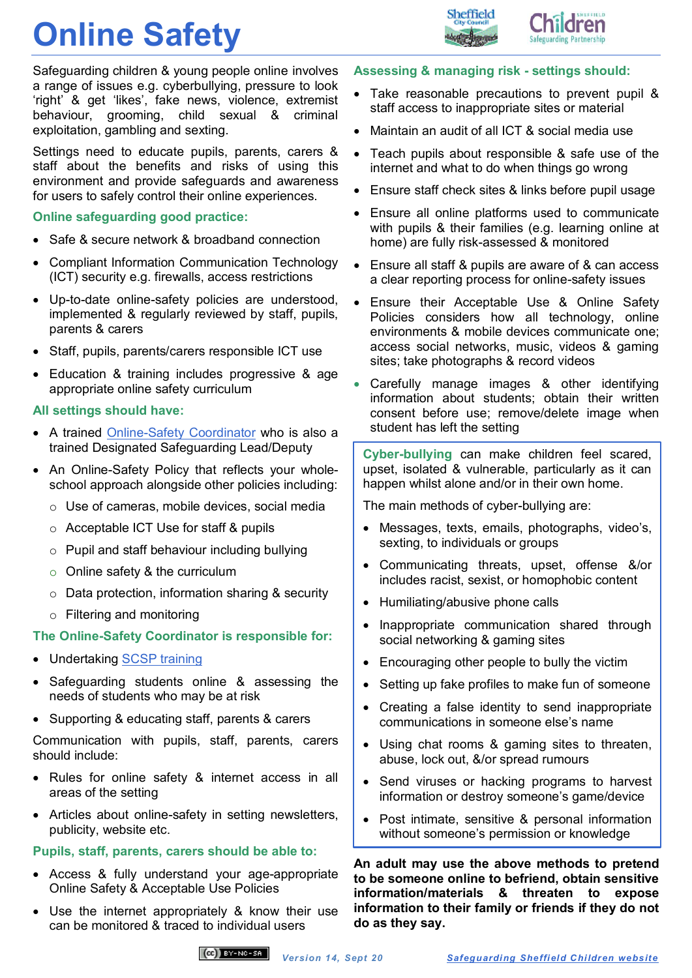## **Online Safety**



**Idren** 

Safeguarding children & young people online involves a range of issues e.g. cyberbullying, pressure to look 'right' & get 'likes', fake news, violence, extremist behaviour, grooming, child sexual & criminal exploitation, gambling and sexting.

Settings need to educate pupils, parents, carers & staff about the benefits and risks of using this environment and provide safeguards and awareness for users to safely control their online experiences.

#### **Online safeguarding good practice:**

- Safe & secure network & broadband connection
- Compliant Information Communication Technology (ICT) security e.g. firewalls, access restrictions
- Up-to-date online-safety policies are understood, implemented & regularly reviewed by staff, pupils, parents & carers
- Staff, pupils, parents/carers responsible ICT use
- Education & training includes progressive & age appropriate online safety curriculum

#### **All settings should have:**

- A trained [Online-Safety Coordinator](http://www.safeguardingsheffieldchildren.org/sscb/education-training/online-safety-coordinators) who is also a trained Designated Safeguarding Lead/Deputy
- An Online-Safety Policy that reflects your wholeschool approach alongside other policies including:
	- o Use of cameras, mobile devices, social media
	- o Acceptable ICT Use for staff & pupils
	- o Pupil and staff behaviour including bullying
	- $\circ$  Online safety & the curriculum
	- $\circ$  Data protection, information sharing & security
	- o Filtering and monitoring

#### **The Online-Safety Coordinator is responsible for:**

- Undertaking [SCSP training](https://www.safeguardingsheffieldchildren.org/sscb/education-training/online-safety-coordinators)
- Safeguarding students online & assessing the needs of students who may be at risk
- Supporting & educating staff, parents & carers

Communication with pupils, staff, parents, carers should include:

- Rules for online safety & internet access in all areas of the setting
- Articles about online-safety in setting newsletters, publicity, website etc.

#### **Pupils, staff, parents, carers should be able to:**

- Access & fully understand your age-appropriate Online Safety & Acceptable Use Policies
- Use the internet appropriately & know their use can be monitored & traced to individual users

#### **Assessing & managing risk - settings should:**

- Take reasonable precautions to prevent pupil & staff access to inappropriate sites or material
- Maintain an audit of all ICT & social media use
- Teach pupils about responsible & safe use of the internet and what to do when things go wrong
- Ensure staff check sites & links before pupil usage
- Ensure all online platforms used to communicate with pupils & their families (e.g. learning online at home) are fully risk-assessed & monitored
- Ensure all staff & pupils are aware of & can access a clear reporting process for online-safety issues
- Ensure their Acceptable Use & Online Safety Policies considers how all technology, online environments & mobile devices communicate one; access social networks, music, videos & gaming sites; take photographs & record videos
- Carefully manage images & other identifying information about students; obtain their written consent before use; remove/delete image when student has left the setting

**Cyber-bullying** can make children feel scared, upset, isolated & vulnerable, particularly as it can happen whilst alone and/or in their own home.

The main methods of cyber-bullying are:

- Messages, texts, emails, photographs, video's, sexting, to individuals or groups
- Communicating threats, upset, offense &/or includes racist, sexist, or homophobic content
- Humiliating/abusive phone calls
- Inappropriate communication shared through social networking & gaming sites
- Encouraging other people to bully the victim
- Setting up fake profiles to make fun of someone
- Creating a false identity to send inappropriate communications in someone else's name
- Using chat rooms & gaming sites to threaten, abuse, lock out, &/or spread rumours
- Send viruses or hacking programs to harvest information or destroy someone's game/device
- Post intimate, sensitive & personal information without someone's permission or knowledge

**An adult may use the above methods to pretend to be someone online to befriend, obtain sensitive information/materials & threaten to expose information to their family or friends if they do not do as they say.**

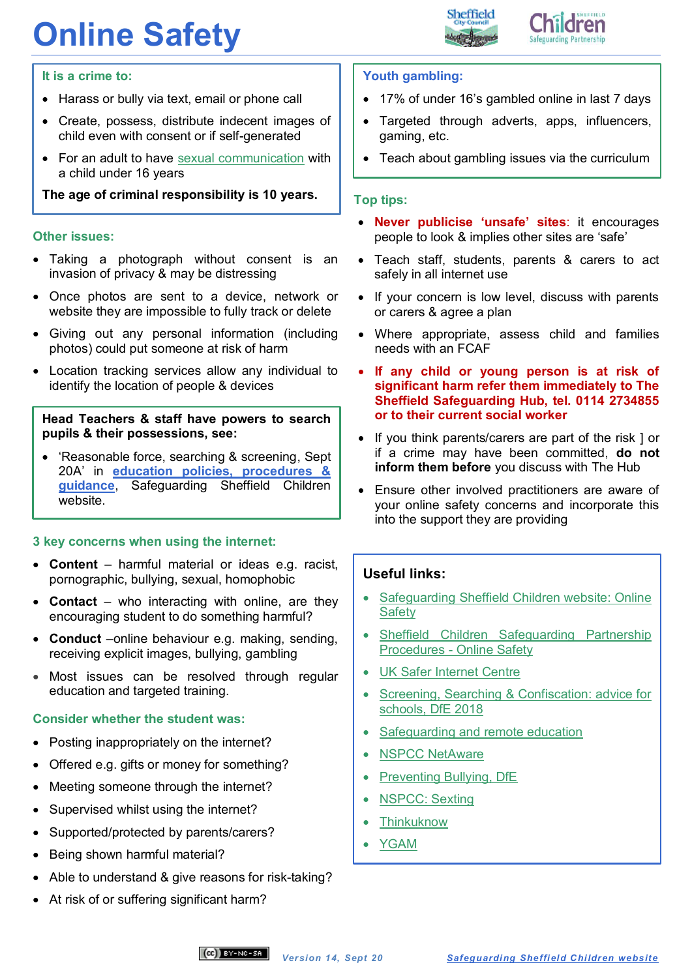# **Online Safety**





#### **It is a crime to:**

- Harass or bully via text, email or phone call
- Create, possess, distribute indecent images of child even with consent or if self-generated
- For an adult to have [sexual communication](https://www.legislation.gov.uk/ukpga/2015/9/section/67) with a child under 16 years

#### **The age of criminal responsibility is 10 years.**

#### **Other issues:**

- Taking a photograph without consent is an invasion of privacy & may be distressing
- Once photos are sent to a device, network or website they are impossible to fully track or delete
- Giving out any personal information (including photos) could put someone at risk of harm
- Location tracking services allow any individual to identify the location of people & devices

#### **Head Teachers & staff have powers to search pupils & their possessions, see:**

 'Reasonable force, searching & screening, Sept 20A' in **[education policies, procedures &](https://www.safeguardingsheffieldchildren.org/sscb/education/policies-procedures)  [guidance](https://www.safeguardingsheffieldchildren.org/sscb/education/policies-procedures)**, Safeguarding Sheffield Children website.

#### **3 key concerns when using the internet:**

- **Content**  harmful material or ideas e.g. racist, pornographic, bullying, sexual, homophobic
- **Contact** who interacting with online, are they encouraging student to do something harmful?
- **Conduct** –online behaviour e.g. making, sending, receiving explicit images, bullying, gambling
- Most issues can be resolved through regular education and targeted training.

#### **Consider whether the student was:**

- Posting inappropriately on the internet?
- Offered e.g. gifts or money for something?
- Meeting someone through the internet?
- Supervised whilst using the internet?
- Supported/protected by parents/carers?
- Being shown harmful material?
- Able to understand & give reasons for risk-taking?
- At risk of or suffering significant harm?

#### **Youth gambling:**

- 17% of under 16's gambled online in last 7 days
- Targeted through adverts, apps, influencers, gaming, etc.
- Teach about gambling issues via the curriculum

#### **Top tips:**

- **Never publicise 'unsafe' sites**: it encourages people to look & implies other sites are 'safe'
- Teach staff, students, parents & carers to act safely in all internet use
- If your concern is low level, discuss with parents or carers & agree a plan
- Where appropriate, assess child and families needs with an FCAF
- **If any child or young person is at risk of significant harm refer them immediately to The Sheffield Safeguarding Hub, tel. 0114 2734855 or to their current social worker**
- If you think parents/carers are part of the risk ] or if a crime may have been committed, **do not inform them before** you discuss with The Hub
- Ensure other involved practitioners are aware of your online safety concerns and incorporate this into the support they are providing

#### **Useful links:**

- [Safeguarding Sheffield Children website: Online](https://www.safeguardingsheffieldchildren.org/sscb/safeguarding-information-and-resources/online-safety)  [Safety](https://www.safeguardingsheffieldchildren.org/sscb/safeguarding-information-and-resources/online-safety)
- [Sheffield Children Safeguarding Partnership](https://sheffieldscb.proceduresonline.com/p_online.html)  Procedures - [Online Safety](https://sheffieldscb.proceduresonline.com/p_online.html)
- [UK Safer Internet Centre](https://www.saferinternet.org.uk/)
- [Screening, Searching & Confiscation: advice for](https://www.gov.uk/government/publications/searching-screening-and-confiscation)  [schools, DfE 2018](https://www.gov.uk/government/publications/searching-screening-and-confiscation)
- [Safeguarding and remote education](https://www.gov.uk/guidance/safeguarding-and-remote-education-during-coronavirus-covid-19)
- [NSPCC NetAware](https://www.net-aware.org.uk/)
- Preventing Bullying, DfE
- [NSPCC: Sexting](https://www.nspcc.org.uk/preventing-abuse/keeping-children-safe/sexting/)
- **[Thinkuknow](https://www.thinkuknow.co.uk/)**
- [YGAM](https://ygam.org/social-impact/youth-gambling)